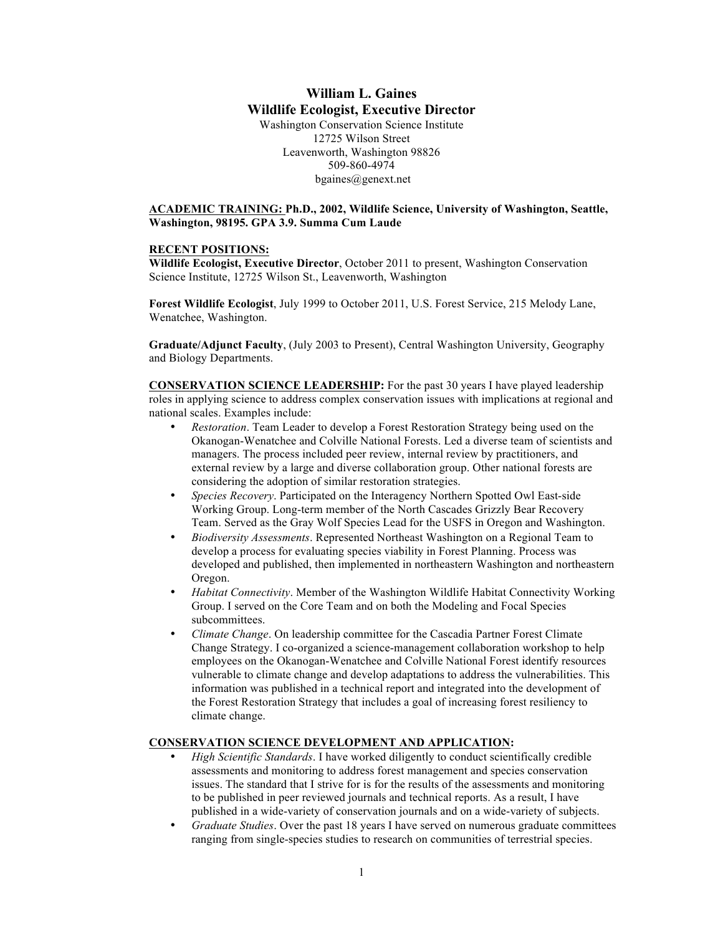# **William L. Gaines Wildlife Ecologist, Executive Director** Washington Conservation Science Institute 12725 Wilson Street Leavenworth, Washington 98826 509-860-4974 bgaines@genext.net

## **ACADEMIC TRAINING: Ph.D., 2002, Wildlife Science, University of Washington, Seattle, Washington, 98195. GPA 3.9. Summa Cum Laude**

#### **RECENT POSITIONS:**

**Wildlife Ecologist, Executive Director**, October 2011 to present, Washington Conservation Science Institute, 12725 Wilson St., Leavenworth, Washington

**Forest Wildlife Ecologist**, July 1999 to October 2011, U.S. Forest Service, 215 Melody Lane, Wenatchee, Washington.

**Graduate/Adjunct Faculty**, (July 2003 to Present), Central Washington University, Geography and Biology Departments.

**CONSERVATION SCIENCE LEADERSHIP:** For the past 30 years I have played leadership roles in applying science to address complex conservation issues with implications at regional and national scales. Examples include:

- *Restoration*. Team Leader to develop a Forest Restoration Strategy being used on the Okanogan-Wenatchee and Colville National Forests. Led a diverse team of scientists and managers. The process included peer review, internal review by practitioners, and external review by a large and diverse collaboration group. Other national forests are considering the adoption of similar restoration strategies.
- *Species Recovery*. Participated on the Interagency Northern Spotted Owl East-side Working Group. Long-term member of the North Cascades Grizzly Bear Recovery Team. Served as the Gray Wolf Species Lead for the USFS in Oregon and Washington.
- *Biodiversity Assessments*. Represented Northeast Washington on a Regional Team to develop a process for evaluating species viability in Forest Planning. Process was developed and published, then implemented in northeastern Washington and northeastern Oregon.
- *Habitat Connectivity*. Member of the Washington Wildlife Habitat Connectivity Working Group. I served on the Core Team and on both the Modeling and Focal Species subcommittees.
- *Climate Change*. On leadership committee for the Cascadia Partner Forest Climate Change Strategy. I co-organized a science-management collaboration workshop to help employees on the Okanogan-Wenatchee and Colville National Forest identify resources vulnerable to climate change and develop adaptations to address the vulnerabilities. This information was published in a technical report and integrated into the development of the Forest Restoration Strategy that includes a goal of increasing forest resiliency to climate change.

### **CONSERVATION SCIENCE DEVELOPMENT AND APPLICATION:**

- *High Scientific Standards*. I have worked diligently to conduct scientifically credible assessments and monitoring to address forest management and species conservation issues. The standard that I strive for is for the results of the assessments and monitoring to be published in peer reviewed journals and technical reports. As a result, I have published in a wide-variety of conservation journals and on a wide-variety of subjects.
- *Graduate Studies*. Over the past 18 years I have served on numerous graduate committees ranging from single-species studies to research on communities of terrestrial species.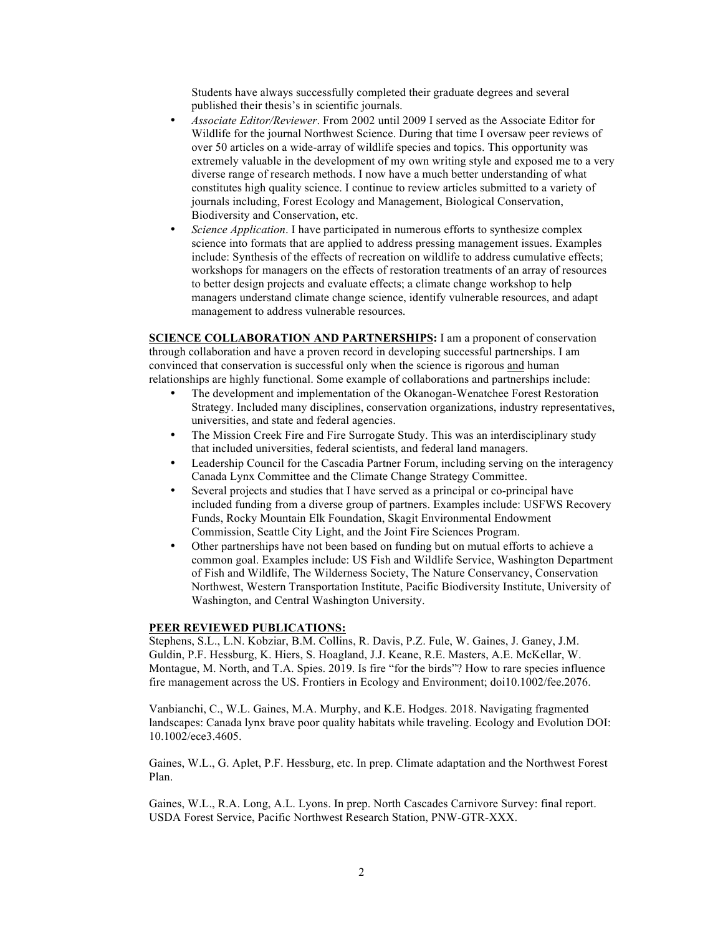Students have always successfully completed their graduate degrees and several published their thesis's in scientific journals.

- *Associate Editor/Reviewer*. From 2002 until 2009 I served as the Associate Editor for Wildlife for the journal Northwest Science. During that time I oversaw peer reviews of over 50 articles on a wide-array of wildlife species and topics. This opportunity was extremely valuable in the development of my own writing style and exposed me to a very diverse range of research methods. I now have a much better understanding of what constitutes high quality science. I continue to review articles submitted to a variety of journals including, Forest Ecology and Management, Biological Conservation, Biodiversity and Conservation, etc.
- *Science Application*. I have participated in numerous efforts to synthesize complex science into formats that are applied to address pressing management issues. Examples include: Synthesis of the effects of recreation on wildlife to address cumulative effects; workshops for managers on the effects of restoration treatments of an array of resources to better design projects and evaluate effects; a climate change workshop to help managers understand climate change science, identify vulnerable resources, and adapt management to address vulnerable resources.

**SCIENCE COLLABORATION AND PARTNERSHIPS:** I am a proponent of conservation through collaboration and have a proven record in developing successful partnerships. I am convinced that conservation is successful only when the science is rigorous and human relationships are highly functional. Some example of collaborations and partnerships include:

- The development and implementation of the Okanogan-Wenatchee Forest Restoration Strategy. Included many disciplines, conservation organizations, industry representatives, universities, and state and federal agencies.
- The Mission Creek Fire and Fire Surrogate Study. This was an interdisciplinary study that included universities, federal scientists, and federal land managers.
- Leadership Council for the Cascadia Partner Forum, including serving on the interagency Canada Lynx Committee and the Climate Change Strategy Committee.
- Several projects and studies that I have served as a principal or co-principal have included funding from a diverse group of partners. Examples include: USFWS Recovery Funds, Rocky Mountain Elk Foundation, Skagit Environmental Endowment Commission, Seattle City Light, and the Joint Fire Sciences Program.
- Other partnerships have not been based on funding but on mutual efforts to achieve a common goal. Examples include: US Fish and Wildlife Service, Washington Department of Fish and Wildlife, The Wilderness Society, The Nature Conservancy, Conservation Northwest, Western Transportation Institute, Pacific Biodiversity Institute, University of Washington, and Central Washington University.

### **PEER REVIEWED PUBLICATIONS:**

Stephens, S.L., L.N. Kobziar, B.M. Collins, R. Davis, P.Z. Fule, W. Gaines, J. Ganey, J.M. Guldin, P.F. Hessburg, K. Hiers, S. Hoagland, J.J. Keane, R.E. Masters, A.E. McKellar, W. Montague, M. North, and T.A. Spies. 2019. Is fire "for the birds"? How to rare species influence fire management across the US. Frontiers in Ecology and Environment; doi10.1002/fee.2076.

Vanbianchi, C., W.L. Gaines, M.A. Murphy, and K.E. Hodges. 2018. Navigating fragmented landscapes: Canada lynx brave poor quality habitats while traveling. Ecology and Evolution DOI: 10.1002/ece3.4605.

Gaines, W.L., G. Aplet, P.F. Hessburg, etc. In prep. Climate adaptation and the Northwest Forest Plan.

Gaines, W.L., R.A. Long, A.L. Lyons. In prep. North Cascades Carnivore Survey: final report. USDA Forest Service, Pacific Northwest Research Station, PNW-GTR-XXX.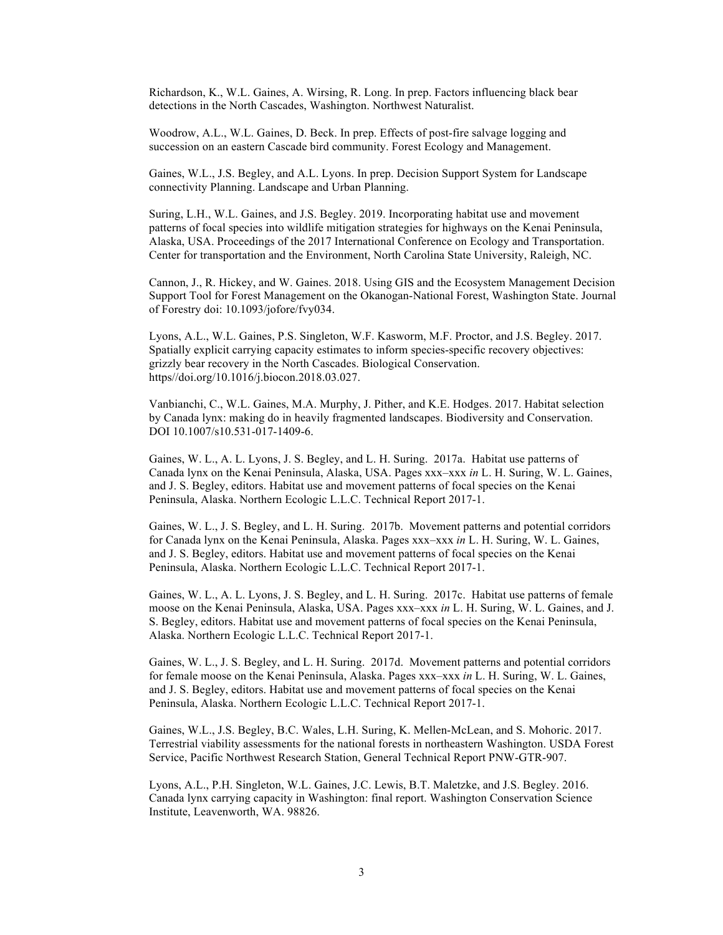Richardson, K., W.L. Gaines, A. Wirsing, R. Long. In prep. Factors influencing black bear detections in the North Cascades, Washington. Northwest Naturalist.

Woodrow, A.L., W.L. Gaines, D. Beck. In prep. Effects of post-fire salvage logging and succession on an eastern Cascade bird community. Forest Ecology and Management.

Gaines, W.L., J.S. Begley, and A.L. Lyons. In prep. Decision Support System for Landscape connectivity Planning. Landscape and Urban Planning.

Suring, L.H., W.L. Gaines, and J.S. Begley. 2019. Incorporating habitat use and movement patterns of focal species into wildlife mitigation strategies for highways on the Kenai Peninsula, Alaska, USA. Proceedings of the 2017 International Conference on Ecology and Transportation. Center for transportation and the Environment, North Carolina State University, Raleigh, NC.

Cannon, J., R. Hickey, and W. Gaines. 2018. Using GIS and the Ecosystem Management Decision Support Tool for Forest Management on the Okanogan-National Forest, Washington State. Journal of Forestry doi: 10.1093/jofore/fvy034.

Lyons, A.L., W.L. Gaines, P.S. Singleton, W.F. Kasworm, M.F. Proctor, and J.S. Begley. 2017. Spatially explicit carrying capacity estimates to inform species-specific recovery objectives: grizzly bear recovery in the North Cascades. Biological Conservation. https//doi.org/10.1016/j.biocon.2018.03.027.

Vanbianchi, C., W.L. Gaines, M.A. Murphy, J. Pither, and K.E. Hodges. 2017. Habitat selection by Canada lynx: making do in heavily fragmented landscapes. Biodiversity and Conservation. DOI 10.1007/s10.531-017-1409-6.

Gaines, W. L., A. L. Lyons, J. S. Begley, and L. H. Suring. 2017a. Habitat use patterns of Canada lynx on the Kenai Peninsula, Alaska, USA. Pages xxx–xxx *in* L. H. Suring, W. L. Gaines, and J. S. Begley, editors. Habitat use and movement patterns of focal species on the Kenai Peninsula, Alaska. Northern Ecologic L.L.C. Technical Report 2017-1.

Gaines, W. L., J. S. Begley, and L. H. Suring. 2017b. Movement patterns and potential corridors for Canada lynx on the Kenai Peninsula, Alaska. Pages xxx–xxx *in* L. H. Suring, W. L. Gaines, and J. S. Begley, editors. Habitat use and movement patterns of focal species on the Kenai Peninsula, Alaska. Northern Ecologic L.L.C. Technical Report 2017-1.

Gaines, W. L., A. L. Lyons, J. S. Begley, and L. H. Suring. 2017c. Habitat use patterns of female moose on the Kenai Peninsula, Alaska, USA. Pages xxx–xxx *in* L. H. Suring, W. L. Gaines, and J. S. Begley, editors. Habitat use and movement patterns of focal species on the Kenai Peninsula, Alaska. Northern Ecologic L.L.C. Technical Report 2017-1.

Gaines, W. L., J. S. Begley, and L. H. Suring. 2017d. Movement patterns and potential corridors for female moose on the Kenai Peninsula, Alaska. Pages xxx–xxx *in* L. H. Suring, W. L. Gaines, and J. S. Begley, editors. Habitat use and movement patterns of focal species on the Kenai Peninsula, Alaska. Northern Ecologic L.L.C. Technical Report 2017-1.

Gaines, W.L., J.S. Begley, B.C. Wales, L.H. Suring, K. Mellen-McLean, and S. Mohoric. 2017. Terrestrial viability assessments for the national forests in northeastern Washington. USDA Forest Service, Pacific Northwest Research Station, General Technical Report PNW-GTR-907.

Lyons, A.L., P.H. Singleton, W.L. Gaines, J.C. Lewis, B.T. Maletzke, and J.S. Begley. 2016. Canada lynx carrying capacity in Washington: final report. Washington Conservation Science Institute, Leavenworth, WA. 98826.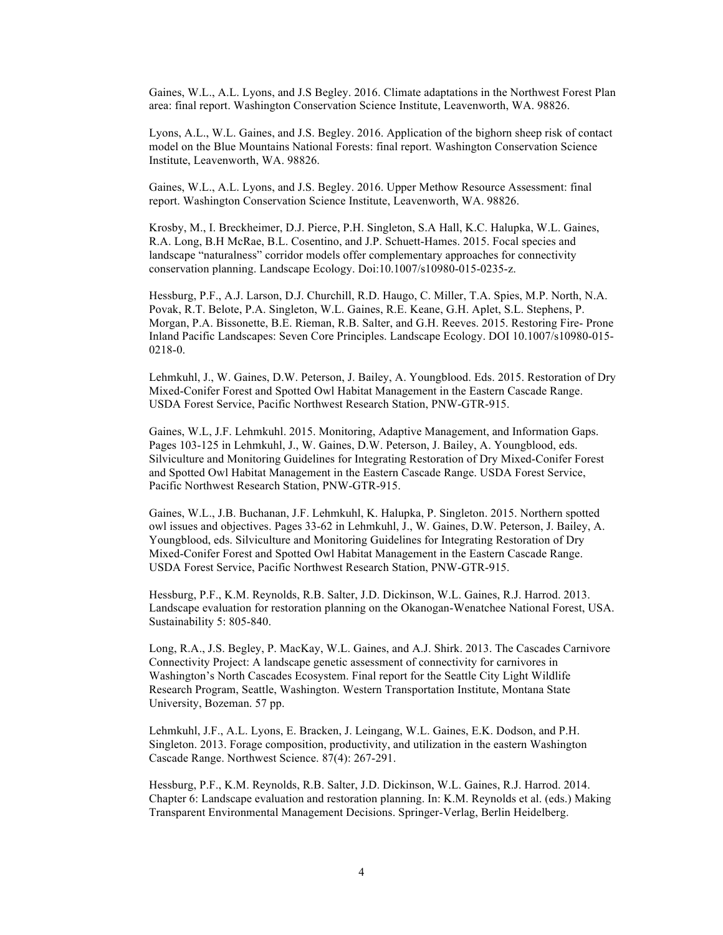Gaines, W.L., A.L. Lyons, and J.S Begley. 2016. Climate adaptations in the Northwest Forest Plan area: final report. Washington Conservation Science Institute, Leavenworth, WA. 98826.

Lyons, A.L., W.L. Gaines, and J.S. Begley. 2016. Application of the bighorn sheep risk of contact model on the Blue Mountains National Forests: final report. Washington Conservation Science Institute, Leavenworth, WA. 98826.

Gaines, W.L., A.L. Lyons, and J.S. Begley. 2016. Upper Methow Resource Assessment: final report. Washington Conservation Science Institute, Leavenworth, WA. 98826.

Krosby, M., I. Breckheimer, D.J. Pierce, P.H. Singleton, S.A Hall, K.C. Halupka, W.L. Gaines, R.A. Long, B.H McRae, B.L. Cosentino, and J.P. Schuett-Hames. 2015. Focal species and landscape "naturalness" corridor models offer complementary approaches for connectivity conservation planning. Landscape Ecology. Doi:10.1007/s10980-015-0235-z.

Hessburg, P.F., A.J. Larson, D.J. Churchill, R.D. Haugo, C. Miller, T.A. Spies, M.P. North, N.A. Povak, R.T. Belote, P.A. Singleton, W.L. Gaines, R.E. Keane, G.H. Aplet, S.L. Stephens, P. Morgan, P.A. Bissonette, B.E. Rieman, R.B. Salter, and G.H. Reeves. 2015. Restoring Fire- Prone Inland Pacific Landscapes: Seven Core Principles. Landscape Ecology. DOI 10.1007/s10980-015- 0218-0.

Lehmkuhl, J., W. Gaines, D.W. Peterson, J. Bailey, A. Youngblood. Eds. 2015. Restoration of Dry Mixed-Conifer Forest and Spotted Owl Habitat Management in the Eastern Cascade Range. USDA Forest Service, Pacific Northwest Research Station, PNW-GTR-915.

Gaines, W.L, J.F. Lehmkuhl. 2015. Monitoring, Adaptive Management, and Information Gaps. Pages 103-125 in Lehmkuhl, J., W. Gaines, D.W. Peterson, J. Bailey, A. Youngblood, eds. Silviculture and Monitoring Guidelines for Integrating Restoration of Dry Mixed-Conifer Forest and Spotted Owl Habitat Management in the Eastern Cascade Range. USDA Forest Service, Pacific Northwest Research Station, PNW-GTR-915.

Gaines, W.L., J.B. Buchanan, J.F. Lehmkuhl, K. Halupka, P. Singleton. 2015. Northern spotted owl issues and objectives. Pages 33-62 in Lehmkuhl, J., W. Gaines, D.W. Peterson, J. Bailey, A. Youngblood, eds. Silviculture and Monitoring Guidelines for Integrating Restoration of Dry Mixed-Conifer Forest and Spotted Owl Habitat Management in the Eastern Cascade Range. USDA Forest Service, Pacific Northwest Research Station, PNW-GTR-915.

Hessburg, P.F., K.M. Reynolds, R.B. Salter, J.D. Dickinson, W.L. Gaines, R.J. Harrod. 2013. Landscape evaluation for restoration planning on the Okanogan-Wenatchee National Forest, USA. Sustainability 5: 805-840.

Long, R.A., J.S. Begley, P. MacKay, W.L. Gaines, and A.J. Shirk. 2013. The Cascades Carnivore Connectivity Project: A landscape genetic assessment of connectivity for carnivores in Washington's North Cascades Ecosystem. Final report for the Seattle City Light Wildlife Research Program, Seattle, Washington. Western Transportation Institute, Montana State University, Bozeman. 57 pp.

Lehmkuhl, J.F., A.L. Lyons, E. Bracken, J. Leingang, W.L. Gaines, E.K. Dodson, and P.H. Singleton. 2013. Forage composition, productivity, and utilization in the eastern Washington Cascade Range. Northwest Science. 87(4): 267-291.

Hessburg, P.F., K.M. Reynolds, R.B. Salter, J.D. Dickinson, W.L. Gaines, R.J. Harrod. 2014. Chapter 6: Landscape evaluation and restoration planning. In: K.M. Reynolds et al. (eds.) Making Transparent Environmental Management Decisions. Springer-Verlag, Berlin Heidelberg.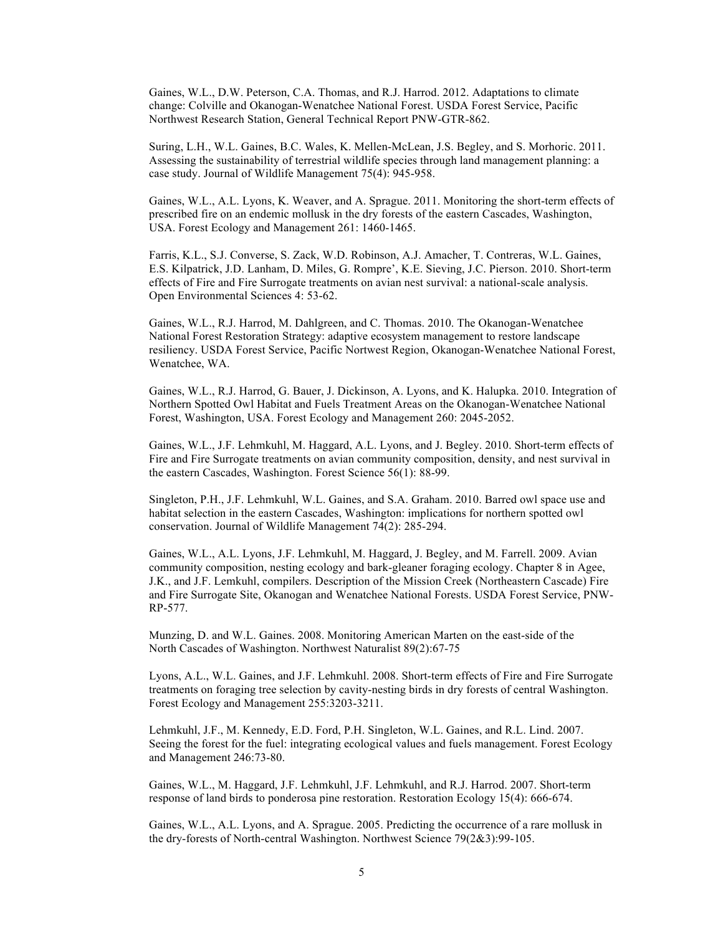Gaines, W.L., D.W. Peterson, C.A. Thomas, and R.J. Harrod. 2012. Adaptations to climate change: Colville and Okanogan-Wenatchee National Forest. USDA Forest Service, Pacific Northwest Research Station, General Technical Report PNW-GTR-862.

Suring, L.H., W.L. Gaines, B.C. Wales, K. Mellen-McLean, J.S. Begley, and S. Morhoric. 2011. Assessing the sustainability of terrestrial wildlife species through land management planning: a case study. Journal of Wildlife Management 75(4): 945-958.

Gaines, W.L., A.L. Lyons, K. Weaver, and A. Sprague. 2011. Monitoring the short-term effects of prescribed fire on an endemic mollusk in the dry forests of the eastern Cascades, Washington, USA. Forest Ecology and Management 261: 1460-1465.

Farris, K.L., S.J. Converse, S. Zack, W.D. Robinson, A.J. Amacher, T. Contreras, W.L. Gaines, E.S. Kilpatrick, J.D. Lanham, D. Miles, G. Rompre', K.E. Sieving, J.C. Pierson. 2010. Short-term effects of Fire and Fire Surrogate treatments on avian nest survival: a national-scale analysis. Open Environmental Sciences 4: 53-62.

Gaines, W.L., R.J. Harrod, M. Dahlgreen, and C. Thomas. 2010. The Okanogan-Wenatchee National Forest Restoration Strategy: adaptive ecosystem management to restore landscape resiliency. USDA Forest Service, Pacific Nortwest Region, Okanogan-Wenatchee National Forest, Wenatchee, WA.

Gaines, W.L., R.J. Harrod, G. Bauer, J. Dickinson, A. Lyons, and K. Halupka. 2010. Integration of Northern Spotted Owl Habitat and Fuels Treatment Areas on the Okanogan-Wenatchee National Forest, Washington, USA. Forest Ecology and Management 260: 2045-2052.

Gaines, W.L., J.F. Lehmkuhl, M. Haggard, A.L. Lyons, and J. Begley. 2010. Short-term effects of Fire and Fire Surrogate treatments on avian community composition, density, and nest survival in the eastern Cascades, Washington. Forest Science 56(1): 88-99.

Singleton, P.H., J.F. Lehmkuhl, W.L. Gaines, and S.A. Graham. 2010. Barred owl space use and habitat selection in the eastern Cascades, Washington: implications for northern spotted owl conservation. Journal of Wildlife Management 74(2): 285-294.

Gaines, W.L., A.L. Lyons, J.F. Lehmkuhl, M. Haggard, J. Begley, and M. Farrell. 2009. Avian community composition, nesting ecology and bark-gleaner foraging ecology. Chapter 8 in Agee, J.K., and J.F. Lemkuhl, compilers. Description of the Mission Creek (Northeastern Cascade) Fire and Fire Surrogate Site, Okanogan and Wenatchee National Forests. USDA Forest Service, PNW-RP-577.

Munzing, D. and W.L. Gaines. 2008. Monitoring American Marten on the east-side of the North Cascades of Washington. Northwest Naturalist 89(2):67-75

Lyons, A.L., W.L. Gaines, and J.F. Lehmkuhl. 2008. Short-term effects of Fire and Fire Surrogate treatments on foraging tree selection by cavity-nesting birds in dry forests of central Washington. Forest Ecology and Management 255:3203-3211.

Lehmkuhl, J.F., M. Kennedy, E.D. Ford, P.H. Singleton, W.L. Gaines, and R.L. Lind. 2007. Seeing the forest for the fuel: integrating ecological values and fuels management. Forest Ecology and Management 246:73-80.

Gaines, W.L., M. Haggard, J.F. Lehmkuhl, J.F. Lehmkuhl, and R.J. Harrod. 2007. Short-term response of land birds to ponderosa pine restoration. Restoration Ecology 15(4): 666-674.

Gaines, W.L., A.L. Lyons, and A. Sprague. 2005. Predicting the occurrence of a rare mollusk in the dry-forests of North-central Washington. Northwest Science 79(2&3):99-105.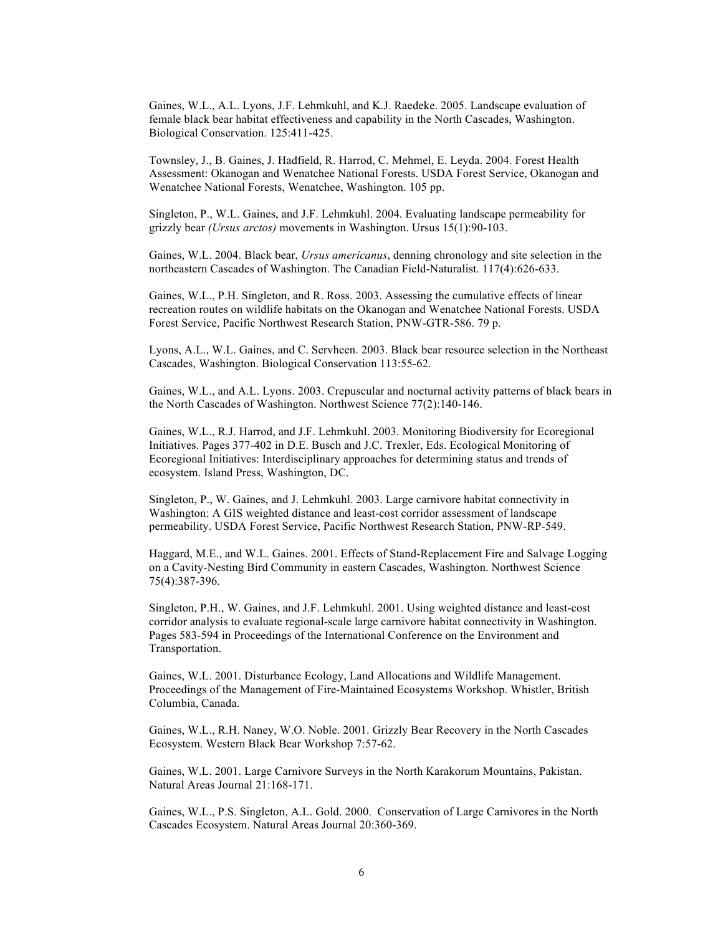Gaines, W.L., A.L. Lyons, J.F. Lehmkuhl, and K.J. Raedeke. 2005. Landscape evaluation of female black bear habitat effectiveness and capability in the North Cascades, Washington. Biological Conservation. 125:411-425.

Townsley, J., B. Gaines, J. Hadfield, R. Harrod, C. Mehmel, E. Leyda. 2004. Forest Health Assessment: Okanogan and Wenatchee National Forests. USDA Forest Service, Okanogan and Wenatchee National Forests, Wenatchee, Washington. 105 pp.

Singleton, P., W.L. Gaines, and J.F. Lehmkuhl. 2004. Evaluating landscape permeability for grizzly bear *(Ursus arctos)* movements in Washington. Ursus 15(1):90-103.

Gaines, W.L. 2004. Black bear, *Ursus americanus*, denning chronology and site selection in the northeastern Cascades of Washington. The Canadian Field-Naturalist. 117(4):626-633.

Gaines, W.L., P.H. Singleton, and R. Ross. 2003. Assessing the cumulative effects of linear recreation routes on wildlife habitats on the Okanogan and Wenatchee National Forests. USDA Forest Service, Pacific Northwest Research Station, PNW-GTR-586. 79 p.

Lyons, A.L., W.L. Gaines, and C. Servheen. 2003. Black bear resource selection in the Northeast Cascades, Washington. Biological Conservation 113:55-62.

Gaines, W.L., and A.L. Lyons. 2003. Crepuscular and nocturnal activity patterns of black bears in the North Cascades of Washington. Northwest Science 77(2):140-146.

Gaines, W.L., R.J. Harrod, and J.F. Lehmkuhl. 2003. Monitoring Biodiversity for Ecoregional Initiatives. Pages 377-402 in D.E. Busch and J.C. Trexler, Eds. Ecological Monitoring of Ecoregional Initiatives: Interdisciplinary approaches for determining status and trends of ecosystem. Island Press, Washington, DC.

Singleton, P., W. Gaines, and J. Lehmkuhl. 2003. Large carnivore habitat connectivity in Washington: A GIS weighted distance and least-cost corridor assessment of landscape permeability. USDA Forest Service, Pacific Northwest Research Station, PNW-RP-549.

Haggard, M.E., and W.L. Gaines. 2001. Effects of Stand-Replacement Fire and Salvage Logging on a Cavity-Nesting Bird Community in eastern Cascades, Washington. Northwest Science 75(4):387-396.

Singleton, P.H., W. Gaines, and J.F. Lehmkuhl. 2001. Using weighted distance and least-cost corridor analysis to evaluate regional-scale large carnivore habitat connectivity in Washington. Pages 583-594 in Proceedings of the International Conference on the Environment and Transportation.

Gaines, W.L. 2001. Disturbance Ecology, Land Allocations and Wildlife Management. Proceedings of the Management of Fire-Maintained Ecosystems Workshop. Whistler, British Columbia, Canada.

Gaines, W.L., R.H. Naney, W.O. Noble. 2001. Grizzly Bear Recovery in the North Cascades Ecosystem. Western Black Bear Workshop 7:57-62.

Gaines, W.L. 2001. Large Carnivore Surveys in the North Karakorum Mountains, Pakistan. Natural Areas Journal 21:168-171.

Gaines, W.L., P.S. Singleton, A.L. Gold. 2000. Conservation of Large Carnivores in the North Cascades Ecosystem. Natural Areas Journal 20:360-369.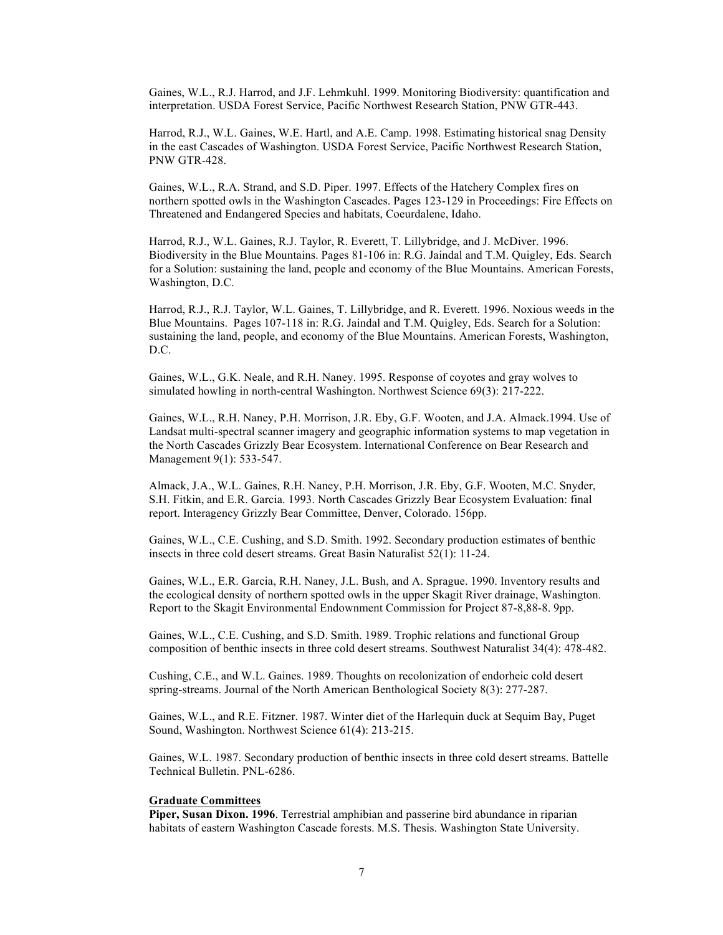Gaines, W.L., R.J. Harrod, and J.F. Lehmkuhl. 1999. Monitoring Biodiversity: quantification and interpretation. USDA Forest Service, Pacific Northwest Research Station, PNW GTR-443.

Harrod, R.J., W.L. Gaines, W.E. Hartl, and A.E. Camp. 1998. Estimating historical snag Density in the east Cascades of Washington. USDA Forest Service, Pacific Northwest Research Station, PNW GTR-428.

Gaines, W.L., R.A. Strand, and S.D. Piper. 1997. Effects of the Hatchery Complex fires on northern spotted owls in the Washington Cascades. Pages 123-129 in Proceedings: Fire Effects on Threatened and Endangered Species and habitats, Coeurdalene, Idaho.

Harrod, R.J., W.L. Gaines, R.J. Taylor, R. Everett, T. Lillybridge, and J. McDiver. 1996. Biodiversity in the Blue Mountains. Pages 81-106 in: R.G. Jaindal and T.M. Quigley, Eds. Search for a Solution: sustaining the land, people and economy of the Blue Mountains. American Forests, Washington, D.C.

Harrod, R.J., R.J. Taylor, W.L. Gaines, T. Lillybridge, and R. Everett. 1996. Noxious weeds in the Blue Mountains. Pages 107-118 in: R.G. Jaindal and T.M. Quigley, Eds. Search for a Solution: sustaining the land, people, and economy of the Blue Mountains. American Forests, Washington, D.C.

Gaines, W.L., G.K. Neale, and R.H. Naney. 1995. Response of coyotes and gray wolves to simulated howling in north-central Washington. Northwest Science 69(3): 217-222.

Gaines, W.L., R.H. Naney, P.H. Morrison, J.R. Eby, G.F. Wooten, and J.A. Almack.1994. Use of Landsat multi-spectral scanner imagery and geographic information systems to map vegetation in the North Cascades Grizzly Bear Ecosystem. International Conference on Bear Research and Management 9(1): 533-547.

Almack, J.A., W.L. Gaines, R.H. Naney, P.H. Morrison, J.R. Eby, G.F. Wooten, M.C. Snyder, S.H. Fitkin, and E.R. Garcia. 1993. North Cascades Grizzly Bear Ecosystem Evaluation: final report. Interagency Grizzly Bear Committee, Denver, Colorado. 156pp.

Gaines, W.L., C.E. Cushing, and S.D. Smith. 1992. Secondary production estimates of benthic insects in three cold desert streams. Great Basin Naturalist 52(1): 11-24.

Gaines, W.L., E.R. Garcia, R.H. Naney, J.L. Bush, and A. Sprague. 1990. Inventory results and the ecological density of northern spotted owls in the upper Skagit River drainage, Washington. Report to the Skagit Environmental Endownment Commission for Project 87-8,88-8. 9pp.

Gaines, W.L., C.E. Cushing, and S.D. Smith. 1989. Trophic relations and functional Group composition of benthic insects in three cold desert streams. Southwest Naturalist 34(4): 478-482.

Cushing, C.E., and W.L. Gaines. 1989. Thoughts on recolonization of endorheic cold desert spring-streams. Journal of the North American Benthological Society 8(3): 277-287.

Gaines, W.L., and R.E. Fitzner. 1987. Winter diet of the Harlequin duck at Sequim Bay, Puget Sound, Washington. Northwest Science 61(4): 213-215.

Gaines, W.L. 1987. Secondary production of benthic insects in three cold desert streams. Battelle Technical Bulletin. PNL-6286.

#### **Graduate Committees**

**Piper, Susan Dixon. 1996**. Terrestrial amphibian and passerine bird abundance in riparian habitats of eastern Washington Cascade forests. M.S. Thesis. Washington State University.